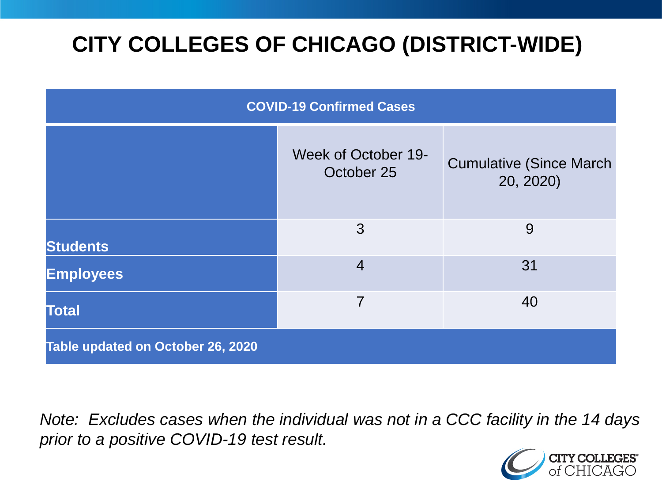# **CITY COLLEGES OF CHICAGO (DISTRICT-WIDE)**

| <b>COVID-19 Confirmed Cases</b>   |                                   |                                              |
|-----------------------------------|-----------------------------------|----------------------------------------------|
|                                   | Week of October 19-<br>October 25 | <b>Cumulative (Since March)</b><br>20, 2020) |
| <b>Students</b>                   | 3                                 | 9                                            |
| <b>Employees</b>                  | $\overline{4}$                    | 31                                           |
| <b>Total</b>                      | 7                                 | 40                                           |
| Table updated on October 26, 2020 |                                   |                                              |

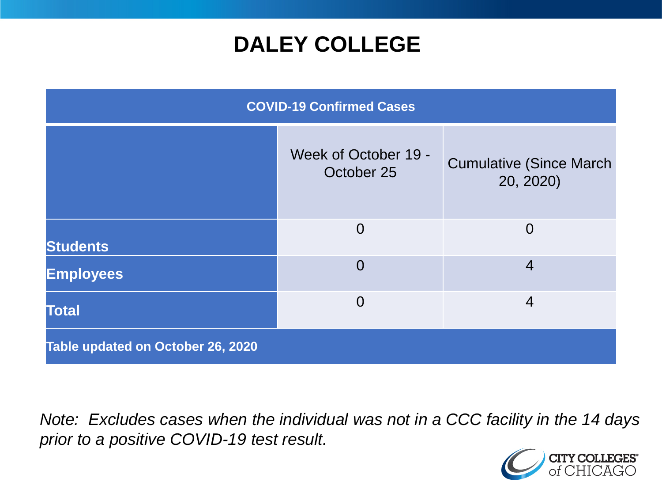## **DALEY COLLEGE**

| <b>COVID-19 Confirmed Cases</b>   |                                    |                                              |
|-----------------------------------|------------------------------------|----------------------------------------------|
|                                   | Week of October 19 -<br>October 25 | <b>Cumulative (Since March)</b><br>20, 2020) |
| <b>Students</b>                   | $\overline{0}$                     | $\overline{0}$                               |
| <b>Employees</b>                  | $\overline{0}$                     | $\overline{4}$                               |
| <b>Total</b>                      | $\overline{0}$                     | $\overline{4}$                               |
| Table updated on October 26, 2020 |                                    |                                              |

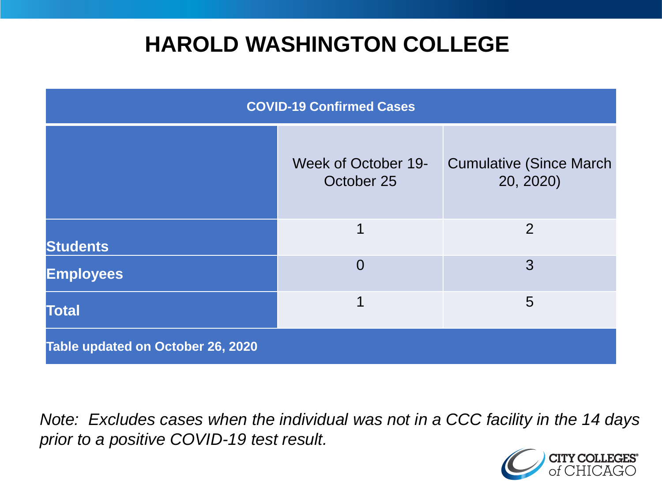## **HAROLD WASHINGTON COLLEGE**

| <b>COVID-19 Confirmed Cases</b>   |                                   |                                              |
|-----------------------------------|-----------------------------------|----------------------------------------------|
|                                   | Week of October 19-<br>October 25 | <b>Cumulative (Since March)</b><br>20, 2020) |
| <b>Students</b>                   | 1                                 | $\overline{2}$                               |
| <b>Employees</b>                  | $\overline{0}$                    | 3                                            |
| <b>Total</b>                      | 1                                 | 5                                            |
| Table updated on October 26, 2020 |                                   |                                              |

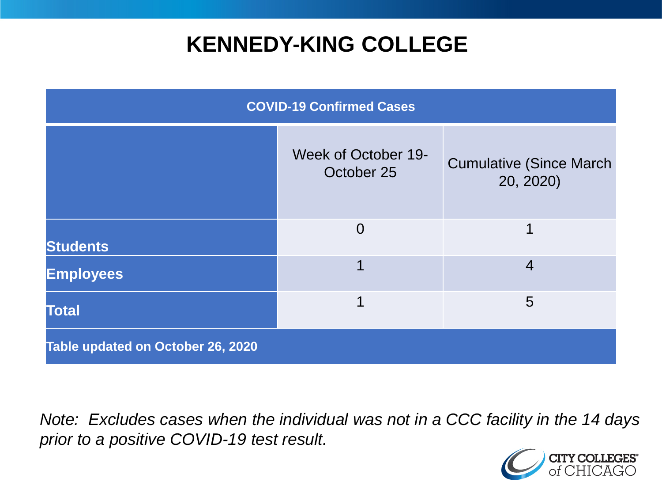### **KENNEDY-KING COLLEGE**

| <b>COVID-19 Confirmed Cases</b>   |                                   |                                              |
|-----------------------------------|-----------------------------------|----------------------------------------------|
|                                   | Week of October 19-<br>October 25 | <b>Cumulative (Since March)</b><br>20, 2020) |
| <b>Students</b>                   | $\overline{0}$                    | 1                                            |
| <b>Employees</b>                  |                                   | $\overline{4}$                               |
| <b>Total</b>                      | 1                                 | 5                                            |
| Table updated on October 26, 2020 |                                   |                                              |

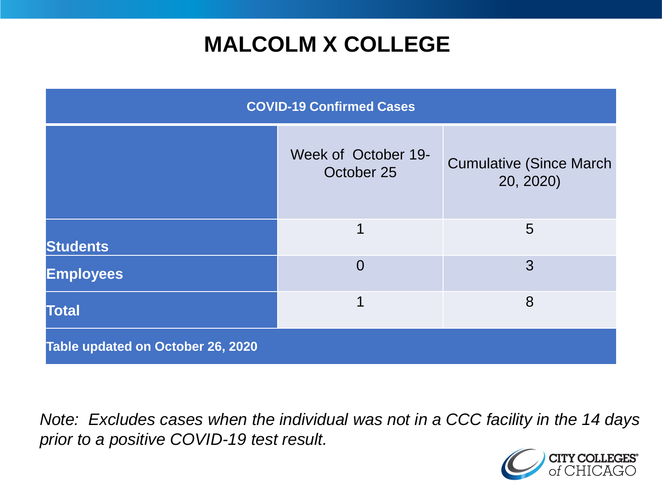# **MALCOLM X COLLEGE**

| <b>COVID-19 Confirmed Cases</b>   |                                   |                                              |
|-----------------------------------|-----------------------------------|----------------------------------------------|
|                                   | Week of October 19-<br>October 25 | <b>Cumulative (Since March)</b><br>20, 2020) |
| <b>Students</b>                   | 1                                 | 5                                            |
| <b>Employees</b>                  | $\Omega$                          | 3                                            |
| <b>Total</b>                      | 1                                 | 8                                            |
| Table updated on October 26, 2020 |                                   |                                              |

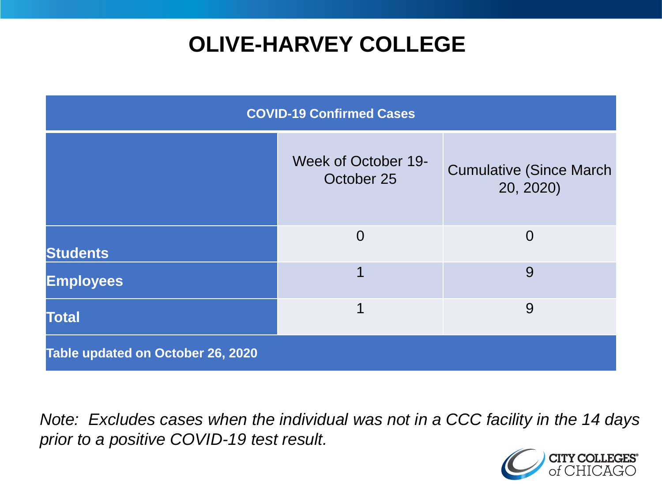# **OLIVE-HARVEY COLLEGE**

| <b>COVID-19 Confirmed Cases</b>   |                                   |                                              |
|-----------------------------------|-----------------------------------|----------------------------------------------|
|                                   | Week of October 19-<br>October 25 | <b>Cumulative (Since March)</b><br>20, 2020) |
| <b>Students</b>                   | $\Omega$                          | $\Omega$                                     |
| <b>Employees</b>                  | 1                                 | 9                                            |
| <b>Total</b>                      | 1                                 | 9                                            |
| Table updated on October 26, 2020 |                                   |                                              |

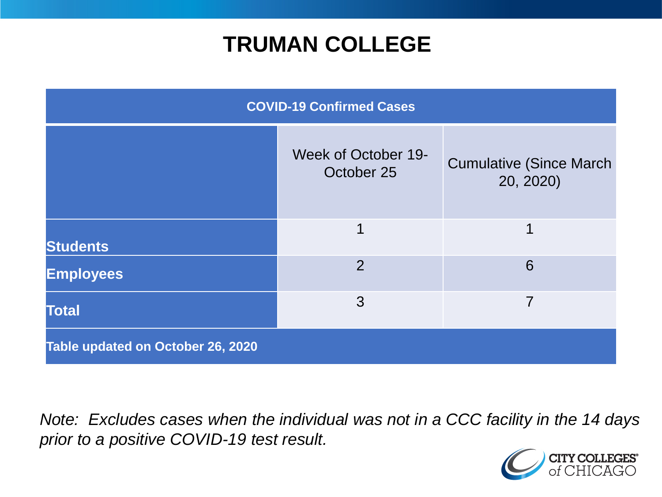### **TRUMAN COLLEGE**

| <b>COVID-19 Confirmed Cases</b>   |                                   |                                              |
|-----------------------------------|-----------------------------------|----------------------------------------------|
|                                   | Week of October 19-<br>October 25 | <b>Cumulative (Since March)</b><br>20, 2020) |
| <b>Students</b>                   | 1                                 | 1                                            |
| <b>Employees</b>                  | 2                                 | 6                                            |
| <b>Total</b>                      | 3                                 | 7                                            |
| Table updated on October 26, 2020 |                                   |                                              |